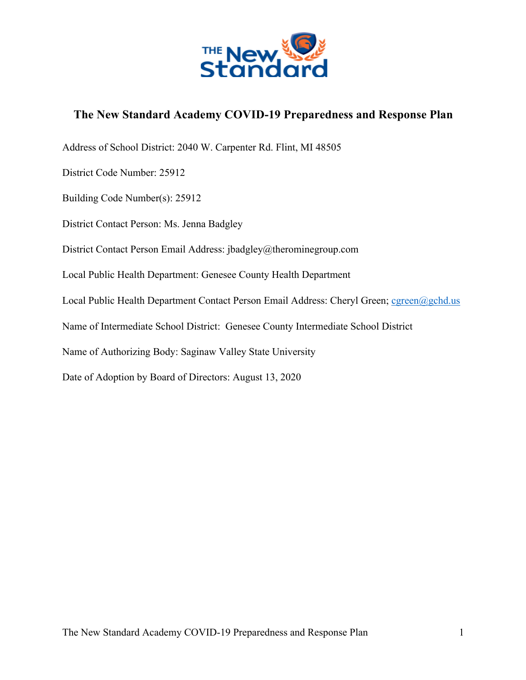

# **The New Standard Academy COVID-19 Preparedness and Response Plan**

Address of School District: 2040 W. Carpenter Rd. Flint, MI 48505 District Code Number: 25912 Building Code Number(s): 25912 District Contact Person: Ms. Jenna Badgley District Contact Person Email Address: jbadgley@therominegroup.com Local Public Health Department: Genesee County Health Department Local Public Health Department Contact Person Email Address: Cheryl Green; cgreen@gchd.us Name of Intermediate School District: Genesee County Intermediate School District Name of Authorizing Body: Saginaw Valley State University Date of Adoption by Board of Directors: August 13, 2020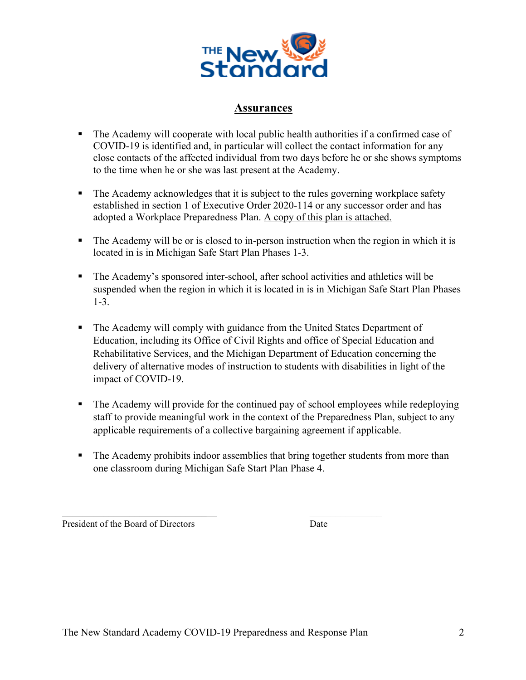

## **Assurances**

- The Academy will cooperate with local public health authorities if a confirmed case of COVID-19 is identified and, in particular will collect the contact information for any close contacts of the affected individual from two days before he or she shows symptoms to the time when he or she was last present at the Academy.
- The Academy acknowledges that it is subject to the rules governing workplace safety established in section 1 of Executive Order 2020-114 or any successor order and has adopted a Workplace Preparedness Plan. A copy of this plan is attached.
- The Academy will be or is closed to in-person instruction when the region in which it is located in is in Michigan Safe Start Plan Phases 1-3.
- § The Academy's sponsored inter-school, after school activities and athletics will be suspended when the region in which it is located in is in Michigan Safe Start Plan Phases 1-3.
- § The Academy will comply with guidance from the United States Department of Education, including its Office of Civil Rights and office of Special Education and Rehabilitative Services, and the Michigan Department of Education concerning the delivery of alternative modes of instruction to students with disabilities in light of the impact of COVID-19.
- The Academy will provide for the continued pay of school employees while redeploying staff to provide meaningful work in the context of the Preparedness Plan, subject to any applicable requirements of a collective bargaining agreement if applicable.
- The Academy prohibits indoor assemblies that bring together students from more than one classroom during Michigan Safe Start Plan Phase 4.

President of the Board of Directors Date

\_\_\_\_\_\_\_\_\_\_\_\_\_\_\_\_\_\_\_\_\_\_\_\_\_\_\_\_ \_\_\_\_\_\_\_\_\_\_\_\_\_\_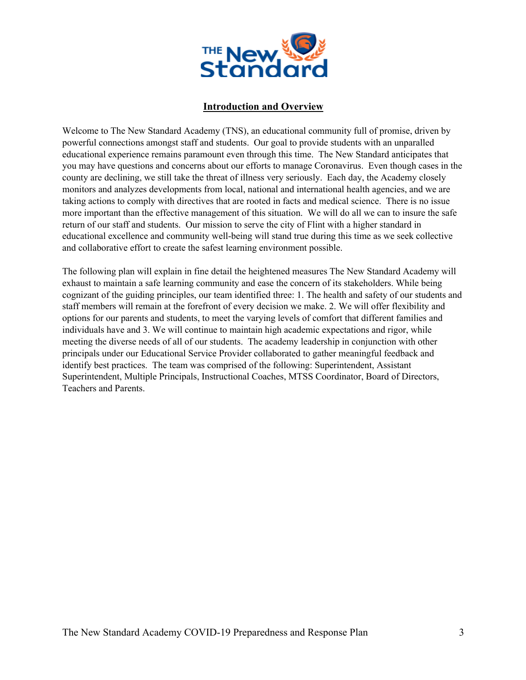

## **Introduction and Overview**

Welcome to The New Standard Academy (TNS), an educational community full of promise, driven by powerful connections amongst staff and students. Our goal to provide students with an unparalled educational experience remains paramount even through this time. The New Standard anticipates that you may have questions and concerns about our efforts to manage Coronavirus. Even though cases in the county are declining, we still take the threat of illness very seriously. Each day, the Academy closely monitors and analyzes developments from local, national and international health agencies, and we are taking actions to comply with directives that are rooted in facts and medical science. There is no issue more important than the effective management of this situation. We will do all we can to insure the safe return of our staff and students. Our mission to serve the city of Flint with a higher standard in educational excellence and community well-being will stand true during this time as we seek collective and collaborative effort to create the safest learning environment possible.

The following plan will explain in fine detail the heightened measures The New Standard Academy will exhaust to maintain a safe learning community and ease the concern of its stakeholders. While being cognizant of the guiding principles, our team identified three: 1. The health and safety of our students and staff members will remain at the forefront of every decision we make. 2. We will offer flexibility and options for our parents and students, to meet the varying levels of comfort that different families and individuals have and 3. We will continue to maintain high academic expectations and rigor, while meeting the diverse needs of all of our students. The academy leadership in conjunction with other principals under our Educational Service Provider collaborated to gather meaningful feedback and identify best practices. The team was comprised of the following: Superintendent, Assistant Superintendent, Multiple Principals, Instructional Coaches, MTSS Coordinator, Board of Directors, Teachers and Parents.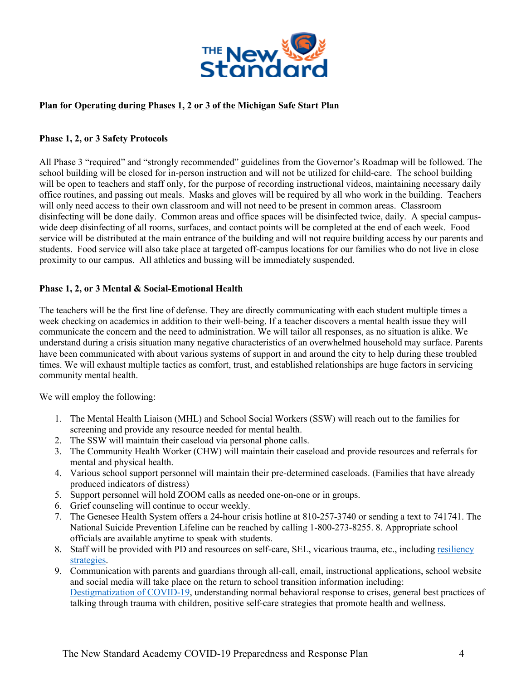

## **Plan for Operating during Phases 1, 2 or 3 of the Michigan Safe Start Plan**

#### **Phase 1, 2, or 3 Safety Protocols**

All Phase 3 "required" and "strongly recommended" guidelines from the Governor's Roadmap will be followed. The school building will be closed for in-person instruction and will not be utilized for child-care. The school building will be open to teachers and staff only, for the purpose of recording instructional videos, maintaining necessary daily office routines, and passing out meals. Masks and gloves will be required by all who work in the building. Teachers will only need access to their own classroom and will not need to be present in common areas. Classroom disinfecting will be done daily. Common areas and office spaces will be disinfected twice, daily. A special campuswide deep disinfecting of all rooms, surfaces, and contact points will be completed at the end of each week. Food service will be distributed at the main entrance of the building and will not require building access by our parents and students. Food service will also take place at targeted off-campus locations for our families who do not live in close proximity to our campus. All athletics and bussing will be immediately suspended.

#### **Phase 1, 2, or 3 Mental & Social-Emotional Health**

The teachers will be the first line of defense. They are directly communicating with each student multiple times a week checking on academics in addition to their well-being. If a teacher discovers a mental health issue they will communicate the concern and the need to administration. We will tailor all responses, as no situation is alike. We understand during a crisis situation many negative characteristics of an overwhelmed household may surface. Parents have been communicated with about various systems of support in and around the city to help during these troubled times. We will exhaust multiple tactics as comfort, trust, and established relationships are huge factors in servicing community mental health.

We will employ the following:

- 1. The Mental Health Liaison (MHL) and School Social Workers (SSW) will reach out to the families for screening and provide any resource needed for mental health.
- 2. The SSW will maintain their caseload via personal phone calls.
- 3. The Community Health Worker (CHW) will maintain their caseload and provide resources and referrals for mental and physical health.
- 4. Various school support personnel will maintain their pre-determined caseloads. (Families that have already produced indicators of distress)
- 5. Support personnel will hold ZOOM calls as needed one-on-one or in groups.
- 6. Grief counseling will continue to occur weekly.
- 7. The Genesee Health System offers a 24-hour crisis hotline at 810-257-3740 or sending a text to 741741. The National Suicide Prevention Lifeline can be reached by calling 1-800-273-8255. 8. Appropriate school officials are available anytime to speak with students.
- 8. Staff will be provided with PD and resources on self-care, SEL, vicarious trauma, etc., including resiliency strategies.
- 9. Communication with parents and guardians through all-call, email, instructional applications, school website and social media will take place on the return to school transition information including: Destigmatization of COVID-19, understanding normal behavioral response to crises, general best practices of talking through trauma with children, positive self-care strategies that promote health and wellness.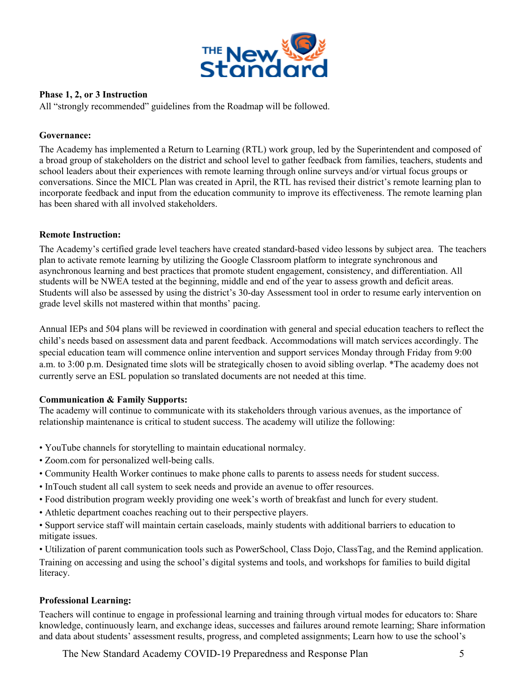

## **Phase 1, 2, or 3 Instruction**

All "strongly recommended" guidelines from the Roadmap will be followed.

## **Governance:**

The Academy has implemented a Return to Learning (RTL) work group, led by the Superintendent and composed of a broad group of stakeholders on the district and school level to gather feedback from families, teachers, students and school leaders about their experiences with remote learning through online surveys and/or virtual focus groups or conversations. Since the MICL Plan was created in April, the RTL has revised their district's remote learning plan to incorporate feedback and input from the education community to improve its effectiveness. The remote learning plan has been shared with all involved stakeholders.

#### **Remote Instruction:**

The Academy's certified grade level teachers have created standard-based video lessons by subject area. The teachers plan to activate remote learning by utilizing the Google Classroom platform to integrate synchronous and asynchronous learning and best practices that promote student engagement, consistency, and differentiation. All students will be NWEA tested at the beginning, middle and end of the year to assess growth and deficit areas. Students will also be assessed by using the district's 30-day Assessment tool in order to resume early intervention on grade level skills not mastered within that months' pacing.

Annual IEPs and 504 plans will be reviewed in coordination with general and special education teachers to reflect the child's needs based on assessment data and parent feedback. Accommodations will match services accordingly. The special education team will commence online intervention and support services Monday through Friday from 9:00 a.m. to 3:00 p.m. Designated time slots will be strategically chosen to avoid sibling overlap. \*The academy does not currently serve an ESL population so translated documents are not needed at this time.

#### **Communication & Family Supports:**

The academy will continue to communicate with its stakeholders through various avenues, as the importance of relationship maintenance is critical to student success. The academy will utilize the following:

- YouTube channels for storytelling to maintain educational normalcy.
- Zoom.com for personalized well-being calls.
- Community Health Worker continues to make phone calls to parents to assess needs for student success.
- InTouch student all call system to seek needs and provide an avenue to offer resources.
- Food distribution program weekly providing one week's worth of breakfast and lunch for every student.
- Athletic department coaches reaching out to their perspective players.
- Support service staff will maintain certain caseloads, mainly students with additional barriers to education to mitigate issues.

• Utilization of parent communication tools such as PowerSchool, Class Dojo, ClassTag, and the Remind application. Training on accessing and using the school's digital systems and tools, and workshops for families to build digital literacy.

## **Professional Learning:**

Teachers will continue to engage in professional learning and training through virtual modes for educators to: Share knowledge, continuously learn, and exchange ideas, successes and failures around remote learning; Share information and data about students' assessment results, progress, and completed assignments; Learn how to use the school's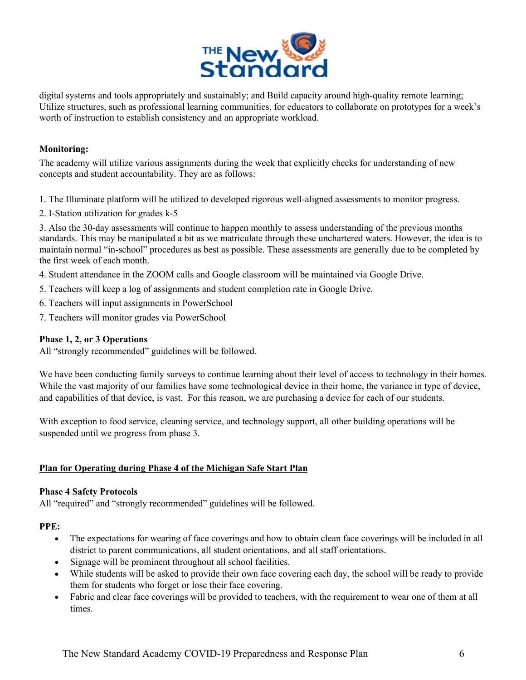

digital systems and tools appropriately and sustainably; and Build capacity around high-quality remote learning; Utilize structures, such as professional learning communities, for educators to collaborate on prototypes for a week's worth of instruction to establish consistency and an appropriate workload.

## **Monitoring:**

The academy will utilize various assignments during the week that explicitly checks for understanding of new concepts and student accountability. They are as follows:

- 1. The Illuminate platform will be utilized to developed rigorous well-aligned assessments to monitor progress.
- 2. I-Station utilization for grades k-5

3. Also the 30-day assessments will continue to happen monthly to assess understanding of the previous months standards. This may be manipulated a bit as we matriculate through these unchartered waters. However, the idea is to maintain normal "in-school" procedures as best as possible. These assessments are generally due to be completed by the first week of each month.

- 4. Student attendance in the ZOOM calls and Google classroom will be maintained via Google Drive.
- 5. Teachers will keep a log of assignments and student completion rate in Google Drive.
- 6. Teachers will input assignments in PowerSchool
- 7. Teachers will monitor grades via PowerSchool

#### **Phase 1, 2, or 3 Operations**

All "strongly recommended" guidelines will be followed.

We have been conducting family surveys to continue learning about their level of access to technology in their homes. While the vast majority of our families have some technological device in their home, the variance in type of device, and capabilities of that device, is vast. For this reason, we are purchasing a device for each of our students.

With exception to food service, cleaning service, and technology support, all other building operations will be suspended until we progress from phase 3.

## **Plan for Operating during Phase 4 of the Michigan Safe Start Plan**

#### **Phase 4 Safety Protocols**

All "required" and "strongly recommended" guidelines will be followed.

#### **PPE:**

- The expectations for wearing of face coverings and how to obtain clean face coverings will be included in all district to parent communications, all student orientations, and all staff orientations.
- Signage will be prominent throughout all school facilities.
- While students will be asked to provide their own face covering each day, the school will be ready to provide them for students who forget or lose their face covering.
- Fabric and clear face coverings will be provided to teachers, with the requirement to wear one of them at all times.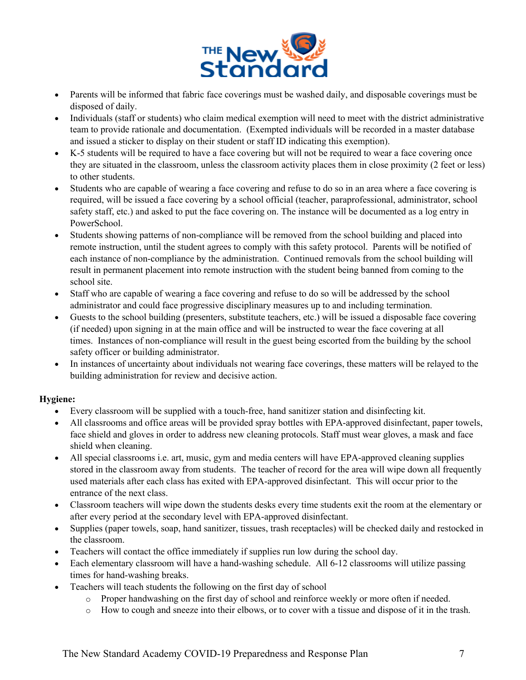

- Parents will be informed that fabric face coverings must be washed daily, and disposable coverings must be disposed of daily.
- Individuals (staff or students) who claim medical exemption will need to meet with the district administrative team to provide rationale and documentation. (Exempted individuals will be recorded in a master database and issued a sticker to display on their student or staff ID indicating this exemption).
- K-5 students will be required to have a face covering but will not be required to wear a face covering once they are situated in the classroom, unless the classroom activity places them in close proximity (2 feet or less) to other students.
- Students who are capable of wearing a face covering and refuse to do so in an area where a face covering is required, will be issued a face covering by a school official (teacher, paraprofessional, administrator, school safety staff, etc.) and asked to put the face covering on. The instance will be documented as a log entry in PowerSchool.
- Students showing patterns of non-compliance will be removed from the school building and placed into remote instruction, until the student agrees to comply with this safety protocol. Parents will be notified of each instance of non-compliance by the administration. Continued removals from the school building will result in permanent placement into remote instruction with the student being banned from coming to the school site.
- Staff who are capable of wearing a face covering and refuse to do so will be addressed by the school administrator and could face progressive disciplinary measures up to and including termination.
- Guests to the school building (presenters, substitute teachers, etc.) will be issued a disposable face covering (if needed) upon signing in at the main office and will be instructed to wear the face covering at all times. Instances of non-compliance will result in the guest being escorted from the building by the school safety officer or building administrator.
- In instances of uncertainty about individuals not wearing face coverings, these matters will be relayed to the building administration for review and decisive action.

## **Hygiene:**

- Every classroom will be supplied with a touch-free, hand sanitizer station and disinfecting kit.
- All classrooms and office areas will be provided spray bottles with EPA-approved disinfectant, paper towels, face shield and gloves in order to address new cleaning protocols. Staff must wear gloves, a mask and face shield when cleaning.
- All special classrooms i.e. art, music, gym and media centers will have EPA-approved cleaning supplies stored in the classroom away from students. The teacher of record for the area will wipe down all frequently used materials after each class has exited with EPA-approved disinfectant. This will occur prior to the entrance of the next class.
- Classroom teachers will wipe down the students desks every time students exit the room at the elementary or after every period at the secondary level with EPA-approved disinfectant.
- Supplies (paper towels, soap, hand sanitizer, tissues, trash receptacles) will be checked daily and restocked in the classroom.
- Teachers will contact the office immediately if supplies run low during the school day.
- Each elementary classroom will have a hand-washing schedule. All 6-12 classrooms will utilize passing times for hand-washing breaks.
- Teachers will teach students the following on the first day of school
	- o Proper handwashing on the first day of school and reinforce weekly or more often if needed.
	- o How to cough and sneeze into their elbows, or to cover with a tissue and dispose of it in the trash.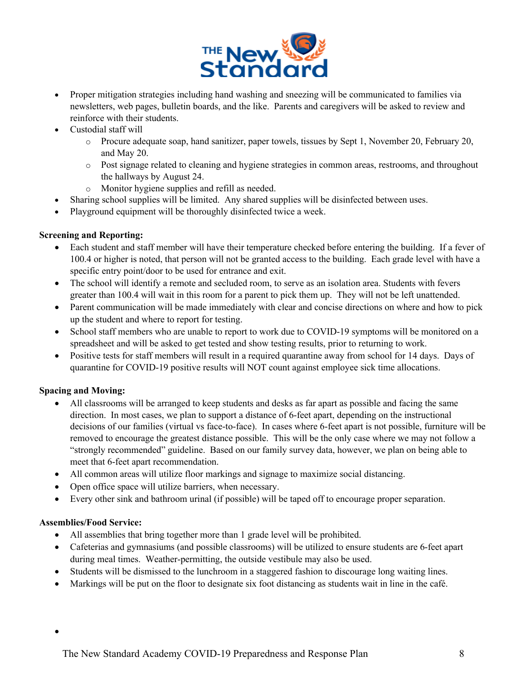

- Proper mitigation strategies including hand washing and sneezing will be communicated to families via newsletters, web pages, bulletin boards, and the like. Parents and caregivers will be asked to review and reinforce with their students.
- Custodial staff will
	- o Procure adequate soap, hand sanitizer, paper towels, tissues by Sept 1, November 20, February 20, and May 20.
	- o Post signage related to cleaning and hygiene strategies in common areas, restrooms, and throughout the hallways by August 24.
	- o Monitor hygiene supplies and refill as needed.
- Sharing school supplies will be limited. Any shared supplies will be disinfected between uses.
- Playground equipment will be thoroughly disinfected twice a week.

#### **Screening and Reporting:**

- Each student and staff member will have their temperature checked before entering the building. If a fever of 100.4 or higher is noted, that person will not be granted access to the building. Each grade level with have a specific entry point/door to be used for entrance and exit.
- The school will identify a remote and secluded room, to serve as an isolation area. Students with fevers greater than 100.4 will wait in this room for a parent to pick them up. They will not be left unattended.
- Parent communication will be made immediately with clear and concise directions on where and how to pick up the student and where to report for testing.
- School staff members who are unable to report to work due to COVID-19 symptoms will be monitored on a spreadsheet and will be asked to get tested and show testing results, prior to returning to work.
- Positive tests for staff members will result in a required quarantine away from school for 14 days. Days of quarantine for COVID-19 positive results will NOT count against employee sick time allocations.

## **Spacing and Moving:**

- All classrooms will be arranged to keep students and desks as far apart as possible and facing the same direction. In most cases, we plan to support a distance of 6-feet apart, depending on the instructional decisions of our families (virtual vs face-to-face). In cases where 6-feet apart is not possible, furniture will be removed to encourage the greatest distance possible. This will be the only case where we may not follow a "strongly recommended" guideline. Based on our family survey data, however, we plan on being able to meet that 6-feet apart recommendation.
- All common areas will utilize floor markings and signage to maximize social distancing.
- Open office space will utilize barriers, when necessary.
- Every other sink and bathroom urinal (if possible) will be taped off to encourage proper separation.

## **Assemblies/Food Service:**

- All assemblies that bring together more than 1 grade level will be prohibited.
- Cafeterias and gymnasiums (and possible classrooms) will be utilized to ensure students are 6-feet apart during meal times. Weather-permitting, the outside vestibule may also be used.
- Students will be dismissed to the lunchroom in a staggered fashion to discourage long waiting lines.
- Markings will be put on the floor to designate six foot distancing as students wait in line in the café.

•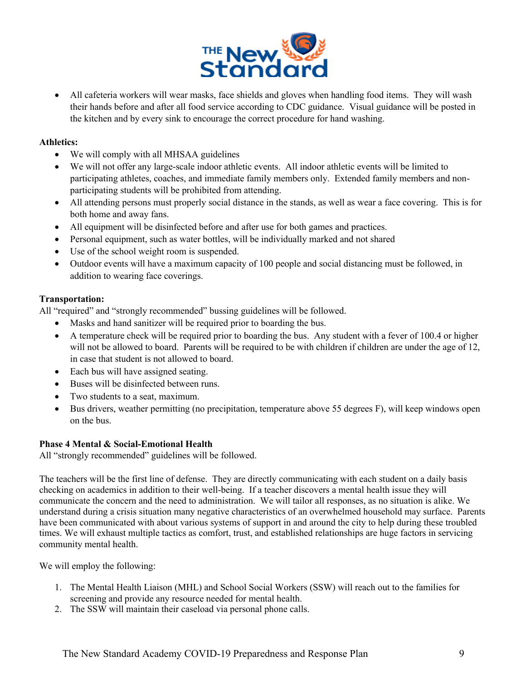

• All cafeteria workers will wear masks, face shields and gloves when handling food items. They will wash their hands before and after all food service according to CDC guidance. Visual guidance will be posted in the kitchen and by every sink to encourage the correct procedure for hand washing.

#### **Athletics:**

- We will comply with all MHSAA guidelines
- We will not offer any large-scale indoor athletic events. All indoor athletic events will be limited to participating athletes, coaches, and immediate family members only. Extended family members and nonparticipating students will be prohibited from attending.
- All attending persons must properly social distance in the stands, as well as wear a face covering. This is for both home and away fans.
- All equipment will be disinfected before and after use for both games and practices.
- Personal equipment, such as water bottles, will be individually marked and not shared
- Use of the school weight room is suspended.
- Outdoor events will have a maximum capacity of 100 people and social distancing must be followed, in addition to wearing face coverings.

#### **Transportation:**

All "required" and "strongly recommended" bussing guidelines will be followed.

- Masks and hand sanitizer will be required prior to boarding the bus.
- A temperature check will be required prior to boarding the bus. Any student with a fever of 100.4 or higher will not be allowed to board. Parents will be required to be with children if children are under the age of 12, in case that student is not allowed to board.
- Each bus will have assigned seating.
- Buses will be disinfected between runs.
- Two students to a seat, maximum.
- Bus drivers, weather permitting (no precipitation, temperature above 55 degrees F), will keep windows open on the bus.

## **Phase 4 Mental & Social-Emotional Health**

All "strongly recommended" guidelines will be followed.

The teachers will be the first line of defense. They are directly communicating with each student on a daily basis checking on academics in addition to their well-being. If a teacher discovers a mental health issue they will communicate the concern and the need to administration. We will tailor all responses, as no situation is alike. We understand during a crisis situation many negative characteristics of an overwhelmed household may surface. Parents have been communicated with about various systems of support in and around the city to help during these troubled times. We will exhaust multiple tactics as comfort, trust, and established relationships are huge factors in servicing community mental health.

We will employ the following:

- 1. The Mental Health Liaison (MHL) and School Social Workers (SSW) will reach out to the families for screening and provide any resource needed for mental health.
- 2. The SSW will maintain their caseload via personal phone calls.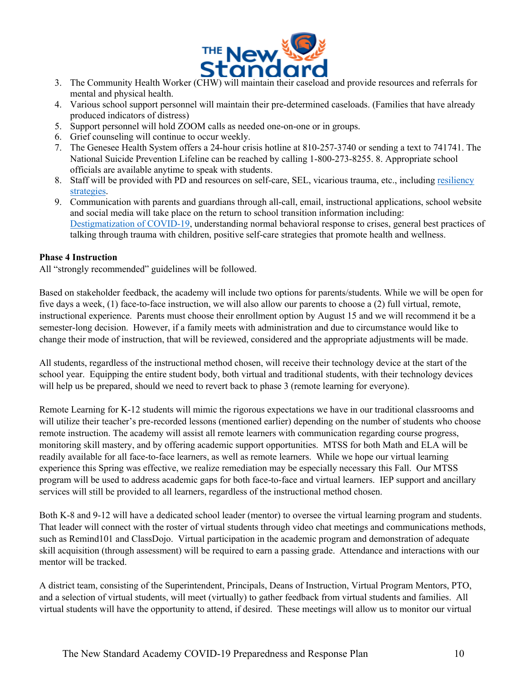

- 3. The Community Health Worker (CHW) will maintain their caseload and provide resources and referrals for mental and physical health.
- 4. Various school support personnel will maintain their pre-determined caseloads. (Families that have already produced indicators of distress)
- 5. Support personnel will hold ZOOM calls as needed one-on-one or in groups.
- 6. Grief counseling will continue to occur weekly.
- 7. The Genesee Health System offers a 24-hour crisis hotline at 810-257-3740 or sending a text to 741741. The National Suicide Prevention Lifeline can be reached by calling 1-800-273-8255. 8. Appropriate school officials are available anytime to speak with students.
- 8. Staff will be provided with PD and resources on self-care, SEL, vicarious trauma, etc., including resiliency strategies.
- 9. Communication with parents and guardians through all-call, email, instructional applications, school website and social media will take place on the return to school transition information including: Destigmatization of COVID-19, understanding normal behavioral response to crises, general best practices of talking through trauma with children, positive self-care strategies that promote health and wellness.

#### **Phase 4 Instruction**

All "strongly recommended" guidelines will be followed.

Based on stakeholder feedback, the academy will include two options for parents/students. While we will be open for five days a week, (1) face-to-face instruction, we will also allow our parents to choose a (2) full virtual, remote, instructional experience. Parents must choose their enrollment option by August 15 and we will recommend it be a semester-long decision. However, if a family meets with administration and due to circumstance would like to change their mode of instruction, that will be reviewed, considered and the appropriate adjustments will be made.

All students, regardless of the instructional method chosen, will receive their technology device at the start of the school year. Equipping the entire student body, both virtual and traditional students, with their technology devices will help us be prepared, should we need to revert back to phase 3 (remote learning for everyone).

Remote Learning for K-12 students will mimic the rigorous expectations we have in our traditional classrooms and will utilize their teacher's pre-recorded lessons (mentioned earlier) depending on the number of students who choose remote instruction. The academy will assist all remote learners with communication regarding course progress, monitoring skill mastery, and by offering academic support opportunities. MTSS for both Math and ELA will be readily available for all face-to-face learners, as well as remote learners. While we hope our virtual learning experience this Spring was effective, we realize remediation may be especially necessary this Fall. Our MTSS program will be used to address academic gaps for both face-to-face and virtual learners. IEP support and ancillary services will still be provided to all learners, regardless of the instructional method chosen.

Both K-8 and 9-12 will have a dedicated school leader (mentor) to oversee the virtual learning program and students. That leader will connect with the roster of virtual students through video chat meetings and communications methods, such as Remind101 and ClassDojo. Virtual participation in the academic program and demonstration of adequate skill acquisition (through assessment) will be required to earn a passing grade. Attendance and interactions with our mentor will be tracked.

A district team, consisting of the Superintendent, Principals, Deans of Instruction, Virtual Program Mentors, PTO, and a selection of virtual students, will meet (virtually) to gather feedback from virtual students and families. All virtual students will have the opportunity to attend, if desired. These meetings will allow us to monitor our virtual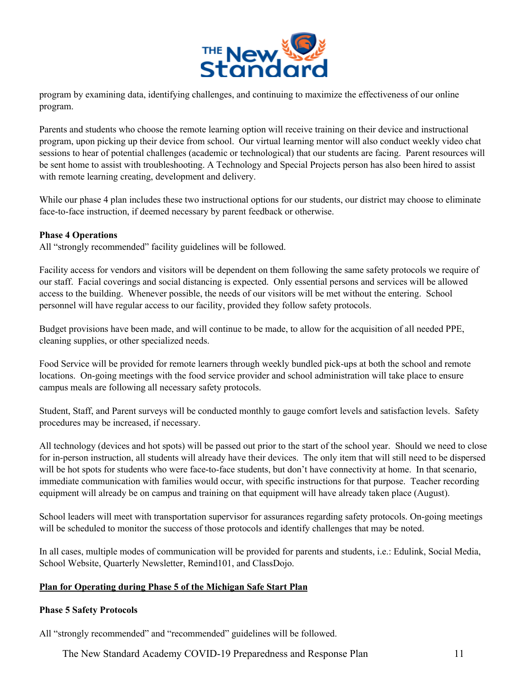

program by examining data, identifying challenges, and continuing to maximize the effectiveness of our online program.

Parents and students who choose the remote learning option will receive training on their device and instructional program, upon picking up their device from school. Our virtual learning mentor will also conduct weekly video chat sessions to hear of potential challenges (academic or technological) that our students are facing. Parent resources will be sent home to assist with troubleshooting. A Technology and Special Projects person has also been hired to assist with remote learning creating, development and delivery.

While our phase 4 plan includes these two instructional options for our students, our district may choose to eliminate face-to-face instruction, if deemed necessary by parent feedback or otherwise.

#### **Phase 4 Operations**

All "strongly recommended" facility guidelines will be followed.

Facility access for vendors and visitors will be dependent on them following the same safety protocols we require of our staff. Facial coverings and social distancing is expected. Only essential persons and services will be allowed access to the building. Whenever possible, the needs of our visitors will be met without the entering. School personnel will have regular access to our facility, provided they follow safety protocols.

Budget provisions have been made, and will continue to be made, to allow for the acquisition of all needed PPE, cleaning supplies, or other specialized needs.

Food Service will be provided for remote learners through weekly bundled pick-ups at both the school and remote locations. On-going meetings with the food service provider and school administration will take place to ensure campus meals are following all necessary safety protocols.

Student, Staff, and Parent surveys will be conducted monthly to gauge comfort levels and satisfaction levels. Safety procedures may be increased, if necessary.

All technology (devices and hot spots) will be passed out prior to the start of the school year. Should we need to close for in-person instruction, all students will already have their devices. The only item that will still need to be dispersed will be hot spots for students who were face-to-face students, but don't have connectivity at home. In that scenario, immediate communication with families would occur, with specific instructions for that purpose. Teacher recording equipment will already be on campus and training on that equipment will have already taken place (August).

School leaders will meet with transportation supervisor for assurances regarding safety protocols. On-going meetings will be scheduled to monitor the success of those protocols and identify challenges that may be noted.

In all cases, multiple modes of communication will be provided for parents and students, i.e.: Edulink, Social Media, School Website, Quarterly Newsletter, Remind101, and ClassDojo.

#### **Plan for Operating during Phase 5 of the Michigan Safe Start Plan**

#### **Phase 5 Safety Protocols**

All "strongly recommended" and "recommended" guidelines will be followed.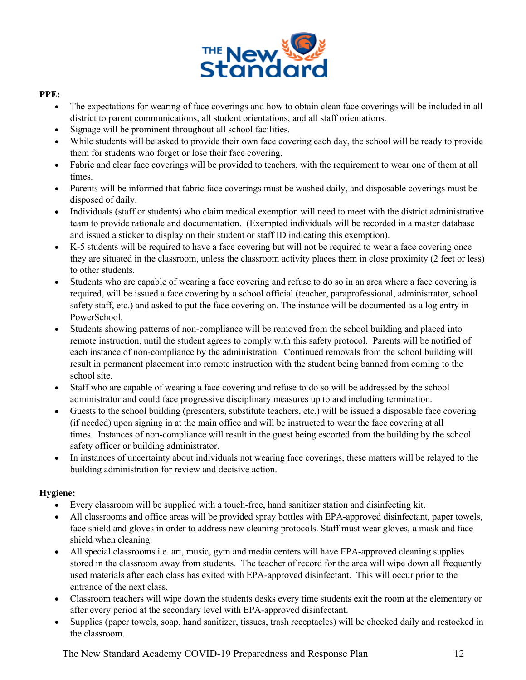

## **PPE:**

- The expectations for wearing of face coverings and how to obtain clean face coverings will be included in all district to parent communications, all student orientations, and all staff orientations.
- Signage will be prominent throughout all school facilities.
- While students will be asked to provide their own face covering each day, the school will be ready to provide them for students who forget or lose their face covering.
- Fabric and clear face coverings will be provided to teachers, with the requirement to wear one of them at all times.
- Parents will be informed that fabric face coverings must be washed daily, and disposable coverings must be disposed of daily.
- Individuals (staff or students) who claim medical exemption will need to meet with the district administrative team to provide rationale and documentation. (Exempted individuals will be recorded in a master database and issued a sticker to display on their student or staff ID indicating this exemption).
- K-5 students will be required to have a face covering but will not be required to wear a face covering once they are situated in the classroom, unless the classroom activity places them in close proximity (2 feet or less) to other students.
- Students who are capable of wearing a face covering and refuse to do so in an area where a face covering is required, will be issued a face covering by a school official (teacher, paraprofessional, administrator, school safety staff, etc.) and asked to put the face covering on. The instance will be documented as a log entry in PowerSchool.
- Students showing patterns of non-compliance will be removed from the school building and placed into remote instruction, until the student agrees to comply with this safety protocol. Parents will be notified of each instance of non-compliance by the administration. Continued removals from the school building will result in permanent placement into remote instruction with the student being banned from coming to the school site.
- Staff who are capable of wearing a face covering and refuse to do so will be addressed by the school administrator and could face progressive disciplinary measures up to and including termination.
- Guests to the school building (presenters, substitute teachers, etc.) will be issued a disposable face covering (if needed) upon signing in at the main office and will be instructed to wear the face covering at all times. Instances of non-compliance will result in the guest being escorted from the building by the school safety officer or building administrator.
- In instances of uncertainty about individuals not wearing face coverings, these matters will be relayed to the building administration for review and decisive action.

## **Hygiene:**

- Every classroom will be supplied with a touch-free, hand sanitizer station and disinfecting kit.
- All classrooms and office areas will be provided spray bottles with EPA-approved disinfectant, paper towels, face shield and gloves in order to address new cleaning protocols. Staff must wear gloves, a mask and face shield when cleaning.
- All special classrooms i.e. art, music, gym and media centers will have EPA-approved cleaning supplies stored in the classroom away from students. The teacher of record for the area will wipe down all frequently used materials after each class has exited with EPA-approved disinfectant. This will occur prior to the entrance of the next class.
- Classroom teachers will wipe down the students desks every time students exit the room at the elementary or after every period at the secondary level with EPA-approved disinfectant.
- Supplies (paper towels, soap, hand sanitizer, tissues, trash receptacles) will be checked daily and restocked in the classroom.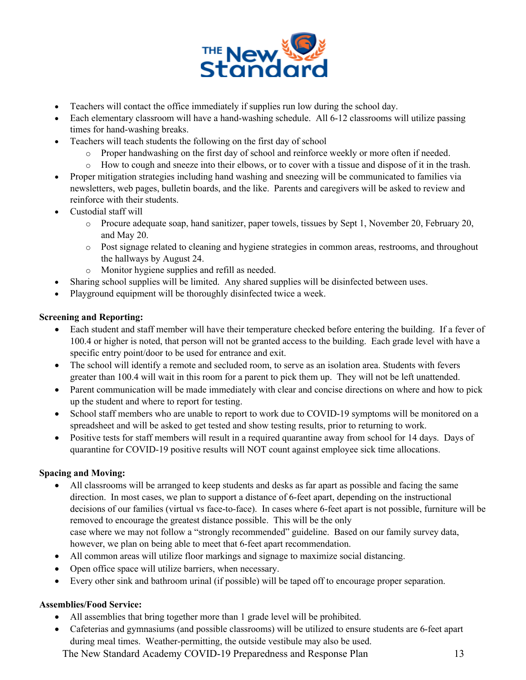

- Teachers will contact the office immediately if supplies run low during the school day.
- Each elementary classroom will have a hand-washing schedule. All 6-12 classrooms will utilize passing times for hand-washing breaks.
- Teachers will teach students the following on the first day of school
	- o Proper handwashing on the first day of school and reinforce weekly or more often if needed.
	- o How to cough and sneeze into their elbows, or to cover with a tissue and dispose of it in the trash.
- Proper mitigation strategies including hand washing and sneezing will be communicated to families via newsletters, web pages, bulletin boards, and the like. Parents and caregivers will be asked to review and reinforce with their students.
- Custodial staff will
	- o Procure adequate soap, hand sanitizer, paper towels, tissues by Sept 1, November 20, February 20, and May 20.
	- o Post signage related to cleaning and hygiene strategies in common areas, restrooms, and throughout the hallways by August 24.
	- o Monitor hygiene supplies and refill as needed.
- Sharing school supplies will be limited. Any shared supplies will be disinfected between uses.
- Playground equipment will be thoroughly disinfected twice a week.

## **Screening and Reporting:**

- Each student and staff member will have their temperature checked before entering the building. If a fever of 100.4 or higher is noted, that person will not be granted access to the building. Each grade level with have a specific entry point/door to be used for entrance and exit.
- The school will identify a remote and secluded room, to serve as an isolation area. Students with fevers greater than 100.4 will wait in this room for a parent to pick them up. They will not be left unattended.
- Parent communication will be made immediately with clear and concise directions on where and how to pick up the student and where to report for testing.
- School staff members who are unable to report to work due to COVID-19 symptoms will be monitored on a spreadsheet and will be asked to get tested and show testing results, prior to returning to work.
- Positive tests for staff members will result in a required quarantine away from school for 14 days. Days of quarantine for COVID-19 positive results will NOT count against employee sick time allocations.

## **Spacing and Moving:**

- All classrooms will be arranged to keep students and desks as far apart as possible and facing the same direction. In most cases, we plan to support a distance of 6-feet apart, depending on the instructional decisions of our families (virtual vs face-to-face). In cases where 6-feet apart is not possible, furniture will be removed to encourage the greatest distance possible. This will be the only case where we may not follow a "strongly recommended" guideline. Based on our family survey data, however, we plan on being able to meet that 6-feet apart recommendation.
- All common areas will utilize floor markings and signage to maximize social distancing.
- Open office space will utilize barriers, when necessary.
- Every other sink and bathroom urinal (if possible) will be taped off to encourage proper separation.

## **Assemblies/Food Service:**

- All assemblies that bring together more than 1 grade level will be prohibited.
- Cafeterias and gymnasiums (and possible classrooms) will be utilized to ensure students are 6-feet apart during meal times. Weather-permitting, the outside vestibule may also be used.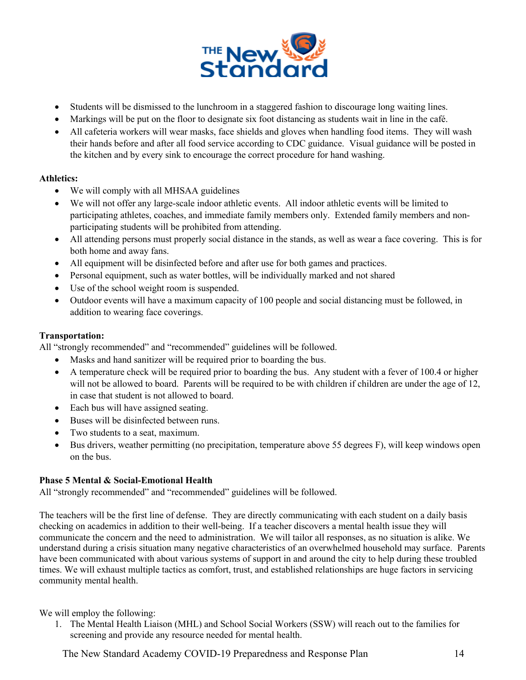

- Students will be dismissed to the lunchroom in a staggered fashion to discourage long waiting lines.
- Markings will be put on the floor to designate six foot distancing as students wait in line in the café.
- All cafeteria workers will wear masks, face shields and gloves when handling food items. They will wash their hands before and after all food service according to CDC guidance. Visual guidance will be posted in the kitchen and by every sink to encourage the correct procedure for hand washing.

#### **Athletics:**

- We will comply with all MHSAA guidelines
- We will not offer any large-scale indoor athletic events. All indoor athletic events will be limited to participating athletes, coaches, and immediate family members only. Extended family members and nonparticipating students will be prohibited from attending.
- All attending persons must properly social distance in the stands, as well as wear a face covering. This is for both home and away fans.
- All equipment will be disinfected before and after use for both games and practices.
- Personal equipment, such as water bottles, will be individually marked and not shared
- Use of the school weight room is suspended.
- Outdoor events will have a maximum capacity of 100 people and social distancing must be followed, in addition to wearing face coverings.

## **Transportation:**

All "strongly recommended" and "recommended" guidelines will be followed.

- Masks and hand sanitizer will be required prior to boarding the bus.
- A temperature check will be required prior to boarding the bus. Any student with a fever of 100.4 or higher will not be allowed to board. Parents will be required to be with children if children are under the age of 12, in case that student is not allowed to board.
- Each bus will have assigned seating.
- Buses will be disinfected between runs.
- Two students to a seat, maximum.
- Bus drivers, weather permitting (no precipitation, temperature above 55 degrees F), will keep windows open on the bus.

## **Phase 5 Mental & Social-Emotional Health**

All "strongly recommended" and "recommended" guidelines will be followed.

The teachers will be the first line of defense. They are directly communicating with each student on a daily basis checking on academics in addition to their well-being. If a teacher discovers a mental health issue they will communicate the concern and the need to administration. We will tailor all responses, as no situation is alike. We understand during a crisis situation many negative characteristics of an overwhelmed household may surface. Parents have been communicated with about various systems of support in and around the city to help during these troubled times. We will exhaust multiple tactics as comfort, trust, and established relationships are huge factors in servicing community mental health.

We will employ the following:

1. The Mental Health Liaison (MHL) and School Social Workers (SSW) will reach out to the families for screening and provide any resource needed for mental health.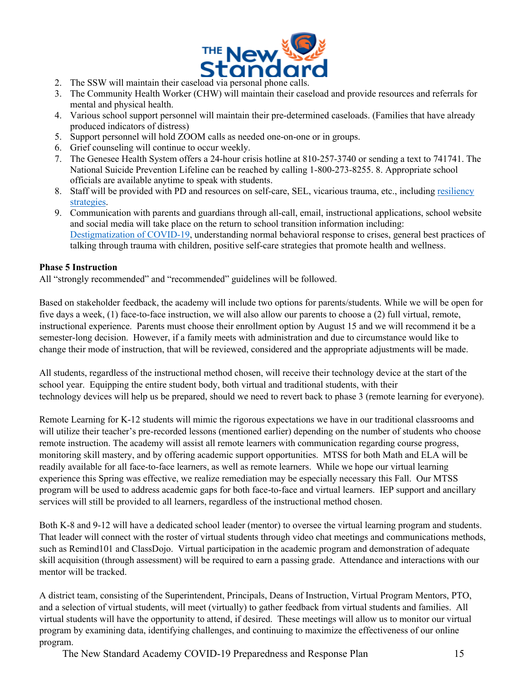

- 
- 3. The Community Health Worker (CHW) will maintain their caseload and provide resources and referrals for mental and physical health.
- 4. Various school support personnel will maintain their pre-determined caseloads. (Families that have already produced indicators of distress)
- 5. Support personnel will hold ZOOM calls as needed one-on-one or in groups.
- 6. Grief counseling will continue to occur weekly.
- 7. The Genesee Health System offers a 24-hour crisis hotline at 810-257-3740 or sending a text to 741741. The National Suicide Prevention Lifeline can be reached by calling 1-800-273-8255. 8. Appropriate school officials are available anytime to speak with students.
- 8. Staff will be provided with PD and resources on self-care, SEL, vicarious trauma, etc., including resiliency strategies.
- 9. Communication with parents and guardians through all-call, email, instructional applications, school website and social media will take place on the return to school transition information including: Destigmatization of COVID-19, understanding normal behavioral response to crises, general best practices of talking through trauma with children, positive self-care strategies that promote health and wellness.

#### **Phase 5 Instruction**

All "strongly recommended" and "recommended" guidelines will be followed.

Based on stakeholder feedback, the academy will include two options for parents/students. While we will be open for five days a week, (1) face-to-face instruction, we will also allow our parents to choose a (2) full virtual, remote, instructional experience. Parents must choose their enrollment option by August 15 and we will recommend it be a semester-long decision. However, if a family meets with administration and due to circumstance would like to change their mode of instruction, that will be reviewed, considered and the appropriate adjustments will be made.

All students, regardless of the instructional method chosen, will receive their technology device at the start of the school year. Equipping the entire student body, both virtual and traditional students, with their technology devices will help us be prepared, should we need to revert back to phase 3 (remote learning for everyone).

Remote Learning for K-12 students will mimic the rigorous expectations we have in our traditional classrooms and will utilize their teacher's pre-recorded lessons (mentioned earlier) depending on the number of students who choose remote instruction. The academy will assist all remote learners with communication regarding course progress, monitoring skill mastery, and by offering academic support opportunities. MTSS for both Math and ELA will be readily available for all face-to-face learners, as well as remote learners. While we hope our virtual learning experience this Spring was effective, we realize remediation may be especially necessary this Fall. Our MTSS program will be used to address academic gaps for both face-to-face and virtual learners. IEP support and ancillary services will still be provided to all learners, regardless of the instructional method chosen.

Both K-8 and 9-12 will have a dedicated school leader (mentor) to oversee the virtual learning program and students. That leader will connect with the roster of virtual students through video chat meetings and communications methods, such as Remind101 and ClassDojo. Virtual participation in the academic program and demonstration of adequate skill acquisition (through assessment) will be required to earn a passing grade. Attendance and interactions with our mentor will be tracked.

A district team, consisting of the Superintendent, Principals, Deans of Instruction, Virtual Program Mentors, PTO, and a selection of virtual students, will meet (virtually) to gather feedback from virtual students and families. All virtual students will have the opportunity to attend, if desired. These meetings will allow us to monitor our virtual program by examining data, identifying challenges, and continuing to maximize the effectiveness of our online program.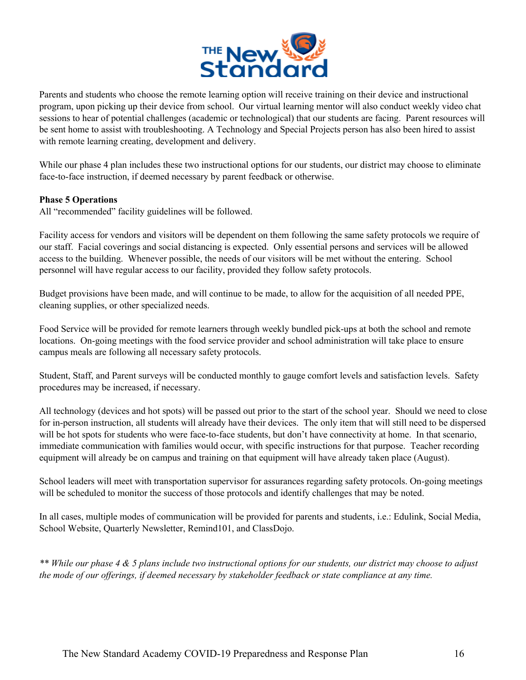

Parents and students who choose the remote learning option will receive training on their device and instructional program, upon picking up their device from school. Our virtual learning mentor will also conduct weekly video chat sessions to hear of potential challenges (academic or technological) that our students are facing. Parent resources will be sent home to assist with troubleshooting. A Technology and Special Projects person has also been hired to assist with remote learning creating, development and delivery.

While our phase 4 plan includes these two instructional options for our students, our district may choose to eliminate face-to-face instruction, if deemed necessary by parent feedback or otherwise.

#### **Phase 5 Operations**

All "recommended" facility guidelines will be followed.

Facility access for vendors and visitors will be dependent on them following the same safety protocols we require of our staff. Facial coverings and social distancing is expected. Only essential persons and services will be allowed access to the building. Whenever possible, the needs of our visitors will be met without the entering. School personnel will have regular access to our facility, provided they follow safety protocols.

Budget provisions have been made, and will continue to be made, to allow for the acquisition of all needed PPE, cleaning supplies, or other specialized needs.

Food Service will be provided for remote learners through weekly bundled pick-ups at both the school and remote locations. On-going meetings with the food service provider and school administration will take place to ensure campus meals are following all necessary safety protocols.

Student, Staff, and Parent surveys will be conducted monthly to gauge comfort levels and satisfaction levels. Safety procedures may be increased, if necessary.

All technology (devices and hot spots) will be passed out prior to the start of the school year. Should we need to close for in-person instruction, all students will already have their devices. The only item that will still need to be dispersed will be hot spots for students who were face-to-face students, but don't have connectivity at home. In that scenario, immediate communication with families would occur, with specific instructions for that purpose. Teacher recording equipment will already be on campus and training on that equipment will have already taken place (August).

School leaders will meet with transportation supervisor for assurances regarding safety protocols. On-going meetings will be scheduled to monitor the success of those protocols and identify challenges that may be noted.

In all cases, multiple modes of communication will be provided for parents and students, i.e.: Edulink, Social Media, School Website, Quarterly Newsletter, Remind101, and ClassDojo.

*\*\* While our phase 4 & 5 plans include two instructional options for our students, our district may choose to adjust the mode of our offerings, if deemed necessary by stakeholder feedback or state compliance at any time.*